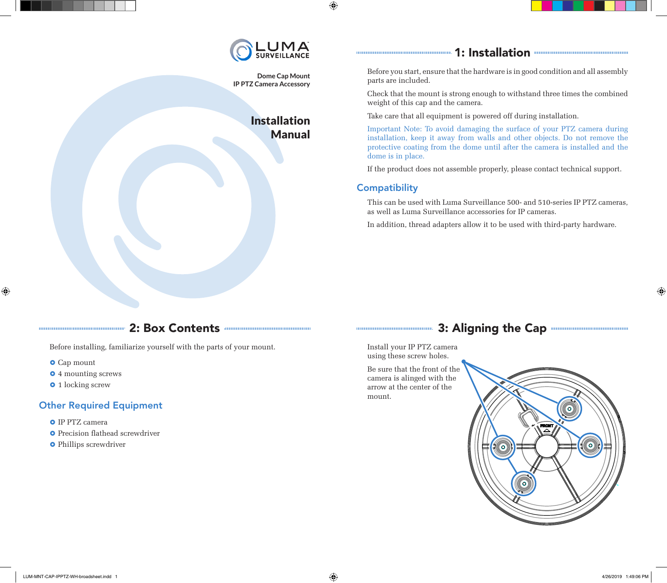

 $\bigoplus$ 

**Dome Cap Mount IP PTZ Camera Accessory** 

## **Installation** Manual

## 1: Installation

Before you start, ensure that the hardware is in good condition and all assembly parts are included.

Check that the mount is strong enough to withstand three times the combined weight of this cap and the camera.

Take care that all equipment is powered off during installation.

Important Note: To avoid damaging the surface of your PTZ camera during installation, keep it away from walls and other objects. Do not remove the protective coating from the dome until after the camera is installed and the dome is in place.

If the product does not assemble properly, please contact technical support.

#### **Compatibility**

This can be used with Luma Surveillance 500- and 510-series IP PTZ cameras, as well as Luma Surveillance accessories for IP cameras.

In addition, thread adapters allow it to be used with third-party hardware.

## 2: Box Contents

Before installing, familiarize yourself with the parts of your mount.

- **•** Cap mount
- 4 mounting screws
- **•** 1 locking screw

### Other Required Equipment

- **O** IP PTZ camera
- **•** Precision flathead screwdriver
- **•** Phillips screwdriver

# 3: Aligning the Cap

Install your IP PTZ camera using these screw holes.

Be sure that the front of the camera is alinged with the arrow at the center of the mount.



 $\bigoplus$